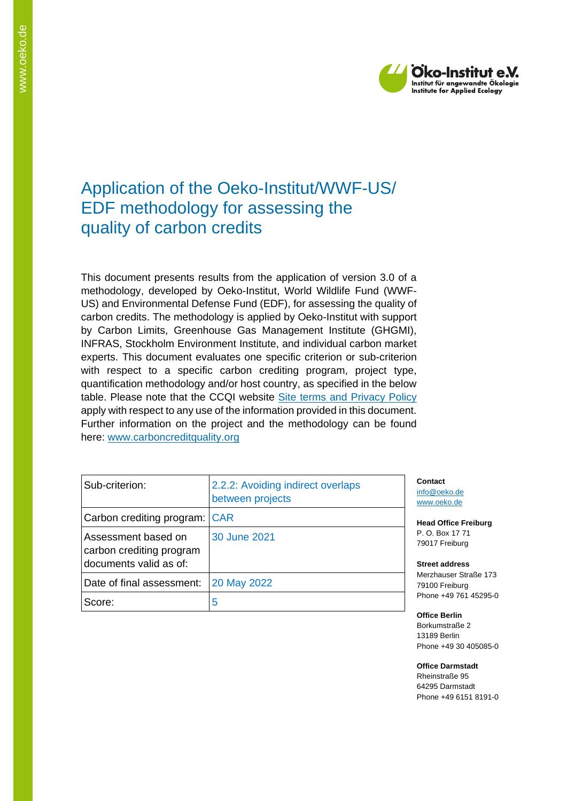

## Application of the Oeko-Institut/WWF-US/ EDF methodology for assessing the quality of carbon credits

This document presents results from the application of version 3.0 of a methodology, developed by Oeko-Institut, World Wildlife Fund (WWF-US) and Environmental Defense Fund (EDF), for assessing the quality of carbon credits. The methodology is applied by Oeko-Institut with support by Carbon Limits, Greenhouse Gas Management Institute (GHGMI), INFRAS, Stockholm Environment Institute, and individual carbon market experts. This document evaluates one specific criterion or sub-criterion with respect to a specific carbon crediting program, project type, quantification methodology and/or host country, as specified in the below table. Please note that the CCQI website [Site terms and Privacy Policy](https://carboncreditquality.org/terms.html) apply with respect to any use of the information provided in this document. Further information on the project and the methodology can be found here: [www.carboncreditquality.org](http://www.carboncreditquality.org/)

| Sub-criterion:                                                            | 2.2.2: Avoiding indirect overlaps<br>between projects | Сo<br><u>inf</u><br><b>WV</b> |
|---------------------------------------------------------------------------|-------------------------------------------------------|-------------------------------|
| Carbon crediting program: CAR                                             |                                                       | He                            |
| Assessment based on<br>carbon crediting program<br>documents valid as of: | 30 June 2021                                          | Р.<br>79<br>St                |
| Date of final assessment:                                                 | 20 May 2022                                           | M<br>79                       |
| Score:                                                                    | 5                                                     | Pr                            |

**Contact** [info@oeko.de](mailto:info@oeko.de) ww.oeko.de

**Head Office Freiburg** P. O. Box 17 71 017 Freiburg

**Street address** erzhauser Straße 173 100 Freiburg one +49 761 45295-0

**Office Berlin** Borkumstraße 2 13189 Berlin Phone +49 30 405085-0

**Office Darmstadt** Rheinstraße 95 64295 Darmstadt Phone +49 6151 8191-0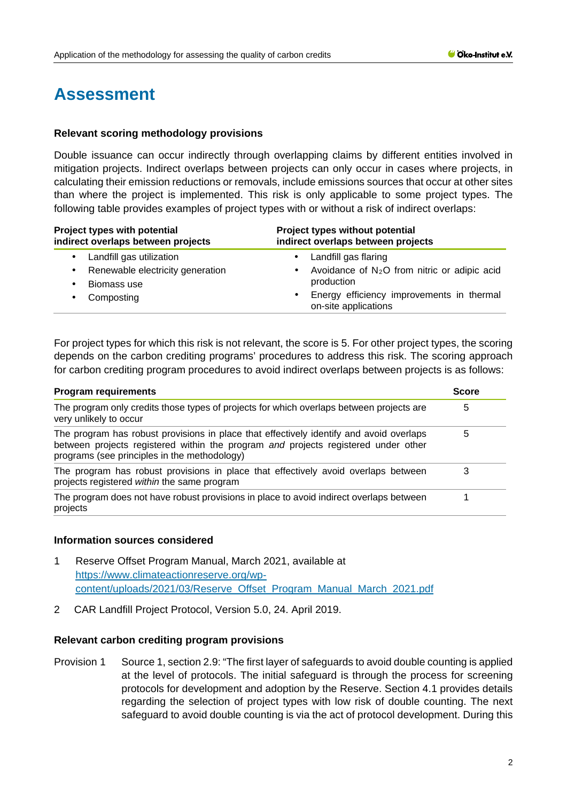# **Assessment**

## **Relevant scoring methodology provisions**

Double issuance can occur indirectly through overlapping claims by different entities involved in mitigation projects. Indirect overlaps between projects can only occur in cases where projects, in calculating their emission reductions or removals, include emissions sources that occur at other sites than where the project is implemented. This risk is only applicable to some project types. The following table provides examples of project types with or without a risk of indirect overlaps:

| Project types with potential<br>indirect overlaps between projects | Project types without potential<br>indirect overlaps between projects          |
|--------------------------------------------------------------------|--------------------------------------------------------------------------------|
| Landfill gas utilization                                           | Landfill gas flaring<br>٠                                                      |
| Renewable electricity generation                                   | Avoidance of $N_2O$ from nitric or adipic acid                                 |
| Biomass use                                                        | production                                                                     |
| Composting                                                         | Energy efficiency improvements in thermal<br>$\bullet$<br>on-site applications |

For project types for which this risk is not relevant, the score is 5. For other project types, the scoring depends on the carbon crediting programs' procedures to address this risk. The scoring approach for carbon crediting program procedures to avoid indirect overlaps between projects is as follows:

| <b>Program requirements</b>                                                                                                                                                                                                   |   |
|-------------------------------------------------------------------------------------------------------------------------------------------------------------------------------------------------------------------------------|---|
| The program only credits those types of projects for which overlaps between projects are<br>very unlikely to occur                                                                                                            | 5 |
| The program has robust provisions in place that effectively identify and avoid overlaps<br>between projects registered within the program and projects registered under other<br>programs (see principles in the methodology) | 5 |
| The program has robust provisions in place that effectively avoid overlaps between<br>projects registered within the same program                                                                                             |   |
| The program does not have robust provisions in place to avoid indirect overlaps between<br>projects                                                                                                                           |   |

## **Information sources considered**

- 1 Reserve Offset Program Manual, March 2021, available at [https://www.climateactionreserve.org/wp](https://www.climateactionreserve.org/wp-content/uploads/2021/03/Reserve_Offset_Program_Manual_March_2021.pdf)[content/uploads/2021/03/Reserve\\_Offset\\_Program\\_Manual\\_March\\_2021.pdf](https://www.climateactionreserve.org/wp-content/uploads/2021/03/Reserve_Offset_Program_Manual_March_2021.pdf)
- 2 CAR Landfill Project Protocol, Version 5.0, 24. April 2019.

### **Relevant carbon crediting program provisions**

Provision 1 Source 1, section 2.9: "The first layer of safeguards to avoid double counting is applied at the level of protocols. The initial safeguard is through the process for screening protocols for development and adoption by the Reserve. Section 4.1 provides details regarding the selection of project types with low risk of double counting. The next safeguard to avoid double counting is via the act of protocol development. During this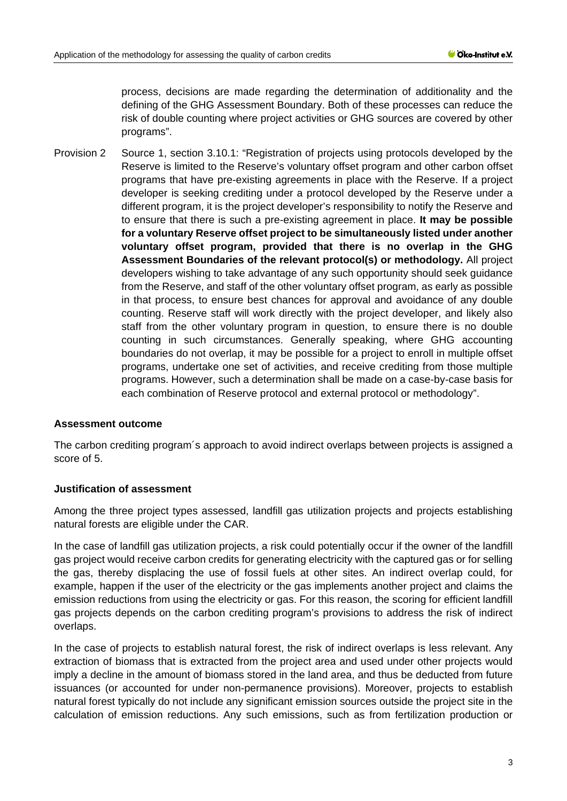process, decisions are made regarding the determination of additionality and the defining of the GHG Assessment Boundary. Both of these processes can reduce the risk of double counting where project activities or GHG sources are covered by other programs".

Provision 2 Source 1, section 3.10.1: "Registration of projects using protocols developed by the Reserve is limited to the Reserve's voluntary offset program and other carbon offset programs that have pre-existing agreements in place with the Reserve. If a project developer is seeking crediting under a protocol developed by the Reserve under a different program, it is the project developer's responsibility to notify the Reserve and to ensure that there is such a pre-existing agreement in place. **It may be possible for a voluntary Reserve offset project to be simultaneously listed under another voluntary offset program, provided that there is no overlap in the GHG Assessment Boundaries of the relevant protocol(s) or methodology.** All project developers wishing to take advantage of any such opportunity should seek guidance from the Reserve, and staff of the other voluntary offset program, as early as possible in that process, to ensure best chances for approval and avoidance of any double counting. Reserve staff will work directly with the project developer, and likely also staff from the other voluntary program in question, to ensure there is no double counting in such circumstances. Generally speaking, where GHG accounting boundaries do not overlap, it may be possible for a project to enroll in multiple offset programs, undertake one set of activities, and receive crediting from those multiple programs. However, such a determination shall be made on a case-by-case basis for each combination of Reserve protocol and external protocol or methodology".

#### **Assessment outcome**

The carbon crediting program´s approach to avoid indirect overlaps between projects is assigned a score of 5.

## **Justification of assessment**

Among the three project types assessed, landfill gas utilization projects and projects establishing natural forests are eligible under the CAR.

In the case of landfill gas utilization projects, a risk could potentially occur if the owner of the landfill gas project would receive carbon credits for generating electricity with the captured gas or for selling the gas, thereby displacing the use of fossil fuels at other sites. An indirect overlap could, for example, happen if the user of the electricity or the gas implements another project and claims the emission reductions from using the electricity or gas. For this reason, the scoring for efficient landfill gas projects depends on the carbon crediting program's provisions to address the risk of indirect overlaps.

In the case of projects to establish natural forest, the risk of indirect overlaps is less relevant. Any extraction of biomass that is extracted from the project area and used under other projects would imply a decline in the amount of biomass stored in the land area, and thus be deducted from future issuances (or accounted for under non-permanence provisions). Moreover, projects to establish natural forest typically do not include any significant emission sources outside the project site in the calculation of emission reductions. Any such emissions, such as from fertilization production or